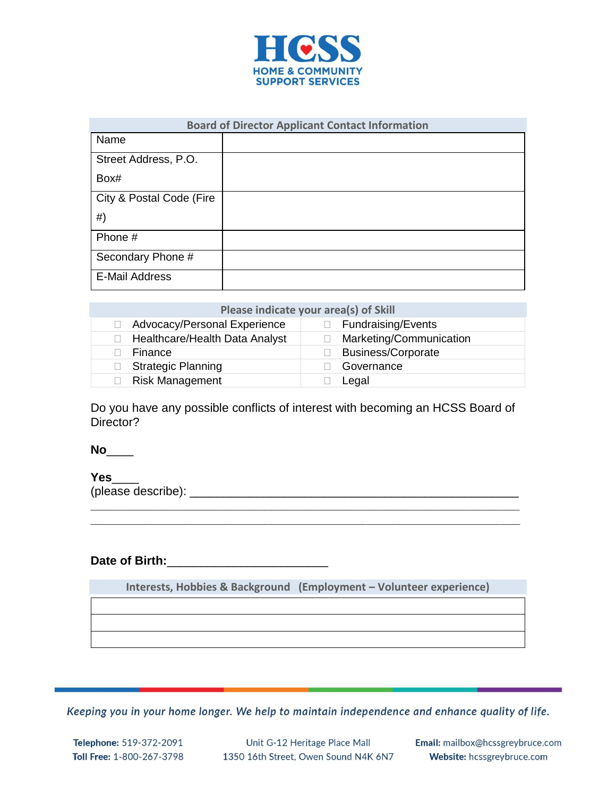

| <b>Board of Director Applicant Contact Information</b> |  |  |
|--------------------------------------------------------|--|--|
| Name                                                   |  |  |
| Street Address, P.O.                                   |  |  |
| Box#                                                   |  |  |
| City & Postal Code (Fire                               |  |  |
| #)                                                     |  |  |
| Phone #                                                |  |  |
| Secondary Phone #                                      |  |  |
| <b>E-Mail Address</b>                                  |  |  |

| Please indicate your area(s) of Skill |                           |  |  |  |
|---------------------------------------|---------------------------|--|--|--|
| Advocacy/Personal Experience          | $\Box$ Fundraising/Events |  |  |  |
| Healthcare/Health Data Analyst        | Marketing/Communication   |  |  |  |
| Finance                               | <b>Business/Corporate</b> |  |  |  |
| <b>Strategic Planning</b>             | Governance                |  |  |  |
| <b>Risk Management</b>                | Legal                     |  |  |  |

Do you have any possible conflicts of interest with becoming an HCSS Board of Director?

**\_\_\_\_\_\_\_\_\_\_\_\_\_\_\_\_\_\_\_\_\_\_\_\_\_\_\_\_\_\_\_\_\_\_\_\_\_\_\_\_\_\_\_\_\_\_\_\_\_\_\_\_\_\_\_\_\_\_\_\_\_\_\_\_ \_\_\_\_\_\_\_\_\_\_\_\_\_\_\_\_\_\_\_\_\_\_\_\_\_\_\_\_\_\_\_\_\_\_\_\_\_\_\_\_\_\_\_\_\_\_\_\_\_\_\_\_\_\_\_\_\_\_\_\_\_\_\_\_**

**No**\_\_\_\_

**Yes**\_\_\_\_

(please describe): \_\_\_\_\_\_\_\_\_\_\_\_\_\_\_\_\_\_\_\_\_\_\_\_\_\_\_\_\_\_\_\_\_\_\_\_\_\_\_\_\_\_\_\_\_\_\_\_\_

## **Date of Birth:**\_\_\_\_\_\_\_\_\_\_\_\_\_\_\_\_\_\_\_\_\_\_\_\_

**Interests, Hobbies & Background (Employment – Volunteer experience)**

Keeping you in your home longer. We help to maintain independence and enhance quality of life.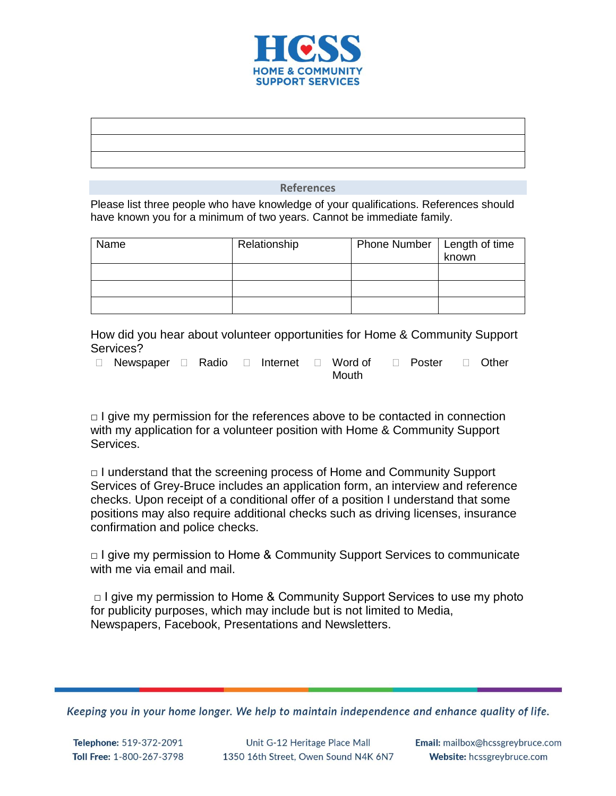

Please list three people who have knowledge of your qualifications. References should have known you for a minimum of two years. Cannot be immediate family.

| Name | Relationship | Phone Number   Length of time | known |
|------|--------------|-------------------------------|-------|
|      |              |                               |       |
|      |              |                               |       |
|      |              |                               |       |

How did you hear about volunteer opportunities for Home & Community Support Services?

 $\Box$  Newspaper  $\Box$  Radio  $\Box$  Internet  $\Box$  Word of Mouth □ Poster □ Other

 $\Box$  I give my permission for the references above to be contacted in connection with my application for a volunteer position with Home & Community Support Services.

□ I understand that the screening process of Home and Community Support Services of Grey-Bruce includes an application form, an interview and reference checks. Upon receipt of a conditional offer of a position I understand that some positions may also require additional checks such as driving licenses, insurance confirmation and police checks.

□ I give my permission to Home & Community Support Services to communicate with me via email and mail.

 $\Box$  I give my permission to Home & Community Support Services to use my photo for publicity purposes, which may include but is not limited to Media, Newspapers, Facebook, Presentations and Newsletters.

Keeping you in your home longer. We help to maintain independence and enhance quality of life.